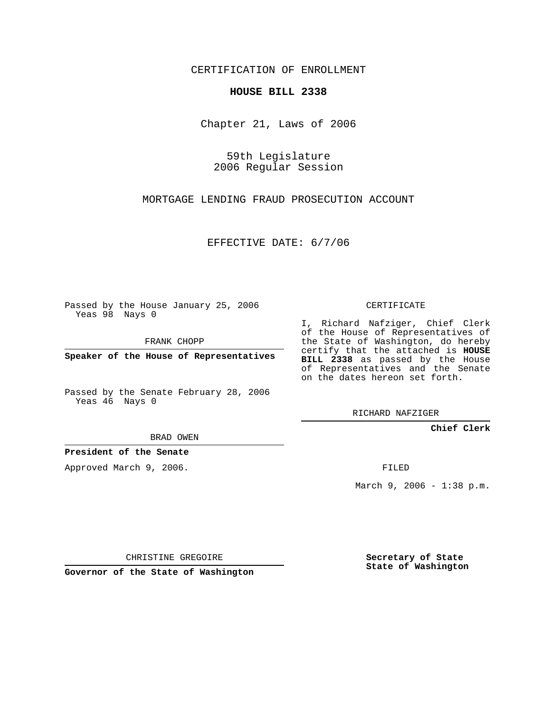CERTIFICATION OF ENROLLMENT

## **HOUSE BILL 2338**

Chapter 21, Laws of 2006

59th Legislature 2006 Regular Session

MORTGAGE LENDING FRAUD PROSECUTION ACCOUNT

EFFECTIVE DATE: 6/7/06

Passed by the House January 25, 2006 Yeas 98 Nays 0

FRANK CHOPP

**Speaker of the House of Representatives**

Passed by the Senate February 28, 2006 Yeas 46 Nays 0

CERTIFICATE

I, Richard Nafziger, Chief Clerk of the House of Representatives of the State of Washington, do hereby certify that the attached is **HOUSE BILL 2338** as passed by the House of Representatives and the Senate on the dates hereon set forth.

RICHARD NAFZIGER

**Chief Clerk**

BRAD OWEN

**President of the Senate**

Approved March 9, 2006.

FILED

March 9, 2006 - 1:38 p.m.

CHRISTINE GREGOIRE

**Governor of the State of Washington**

**Secretary of State State of Washington**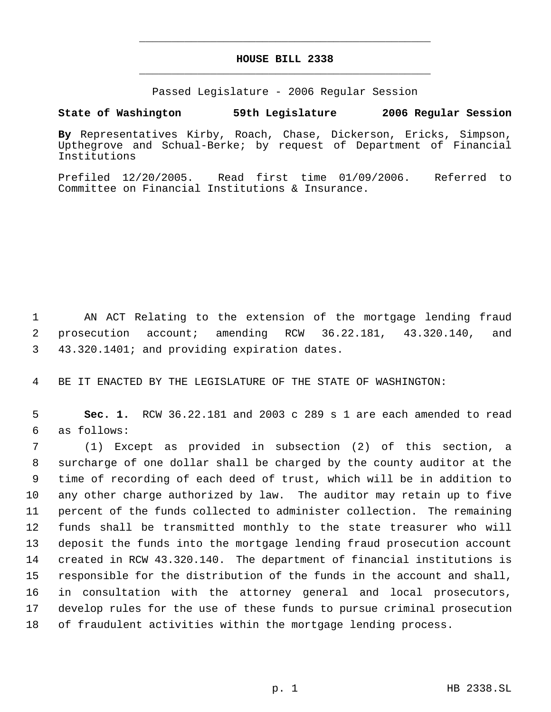## **HOUSE BILL 2338** \_\_\_\_\_\_\_\_\_\_\_\_\_\_\_\_\_\_\_\_\_\_\_\_\_\_\_\_\_\_\_\_\_\_\_\_\_\_\_\_\_\_\_\_\_

\_\_\_\_\_\_\_\_\_\_\_\_\_\_\_\_\_\_\_\_\_\_\_\_\_\_\_\_\_\_\_\_\_\_\_\_\_\_\_\_\_\_\_\_\_

Passed Legislature - 2006 Regular Session

## **State of Washington 59th Legislature 2006 Regular Session**

**By** Representatives Kirby, Roach, Chase, Dickerson, Ericks, Simpson, Upthegrove and Schual-Berke; by request of Department of Financial Institutions

Prefiled 12/20/2005. Read first time 01/09/2006. Referred to Committee on Financial Institutions & Insurance.

 AN ACT Relating to the extension of the mortgage lending fraud prosecution account; amending RCW 36.22.181, 43.320.140, and 43.320.1401; and providing expiration dates.

BE IT ENACTED BY THE LEGISLATURE OF THE STATE OF WASHINGTON:

 **Sec. 1.** RCW 36.22.181 and 2003 c 289 s 1 are each amended to read as follows:

 (1) Except as provided in subsection (2) of this section, a surcharge of one dollar shall be charged by the county auditor at the time of recording of each deed of trust, which will be in addition to any other charge authorized by law. The auditor may retain up to five percent of the funds collected to administer collection. The remaining funds shall be transmitted monthly to the state treasurer who will deposit the funds into the mortgage lending fraud prosecution account created in RCW 43.320.140. The department of financial institutions is responsible for the distribution of the funds in the account and shall, in consultation with the attorney general and local prosecutors, develop rules for the use of these funds to pursue criminal prosecution of fraudulent activities within the mortgage lending process.